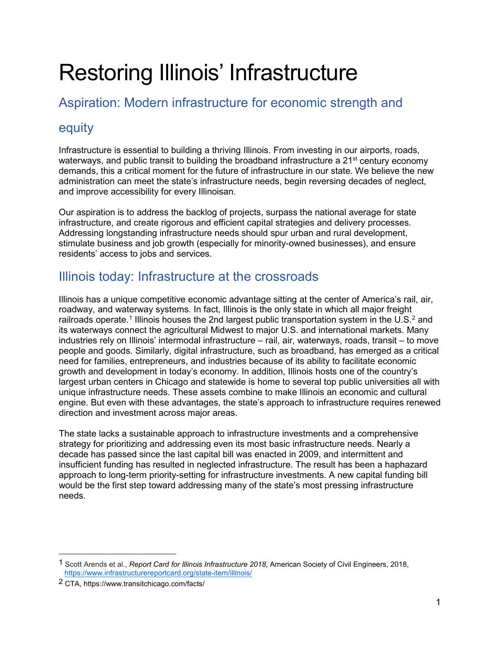# Restoring Illinois' Infrastructure

# Aspiration: Modern infrastructure for economic strength and

# equity

Infrastructure is essential to building a thriving Illinois. From investing in our airports, roads, waterways, and public transit to building the broadband infrastructure a  $21<sup>st</sup>$  century economy demands, this a critical moment for the future of infrastructure in our state. We believe the new administration can meet the state's infrastructure needs, begin reversing decades of neglect, and improve accessibility for every Illinoisan.

Our aspiration is to address the backlog of projects, surpass the national average for state infrastructure, and create rigorous and efficient capital strategies and delivery processes. Addressing longstanding infrastructure needs should spur urban and rural development, stimulate business and job growth (especially for minority-owned businesses), and ensure residents' access to jobs and services.

# Illinois today: Infrastructure at the crossroads

Illinois has a unique competitive economic advantage sitting at the center of America's rail, air, roadway, and waterway systems. In fact, Illinois is the only state in which all major freight railroads operate.<sup>[1](#page-0-0)</sup> Illinois houses the [2](#page-0-1)nd largest public transportation system in the U.S.<sup>2</sup> and its waterways connect the agricultural Midwest to major U.S. and international markets. Many industries rely on Illinois' intermodal infrastructure – rail, air, waterways, roads, transit – to move people and goods. Similarly, digital infrastructure, such as broadband, has emerged as a critical need for families, entrepreneurs, and industries because of its ability to facilitate economic growth and development in today's economy. In addition, Illinois hosts one of the country's largest urban centers in Chicago and statewide is home to several top public universities all with unique infrastructure needs. These assets combine to make Illinois an economic and cultural engine. But even with these advantages, the state's approach to infrastructure requires renewed direction and investment across major areas.

The state lacks a sustainable approach to infrastructure investments and a comprehensive strategy for prioritizing and addressing even its most basic infrastructure needs. Nearly a decade has passed since the last capital bill was enacted in 2009, and intermittent and insufficient funding has resulted in neglected infrastructure. The result has been a haphazard approach to long-term priority-setting for infrastructure investments. A new capital funding bill would be the first step toward addressing many of the state's most pressing infrastructure needs.

<span id="page-0-0"></span> <sup>1</sup> Scott Arends et al., *Report Card for Illinois Infrastructure 2018*, American Society of Civil Engineers, 2018, <https://www.infrastructurereportcard.org/state-item/illinois/>

<span id="page-0-1"></span><sup>2</sup> CTA, https://www.transitchicago.com/facts/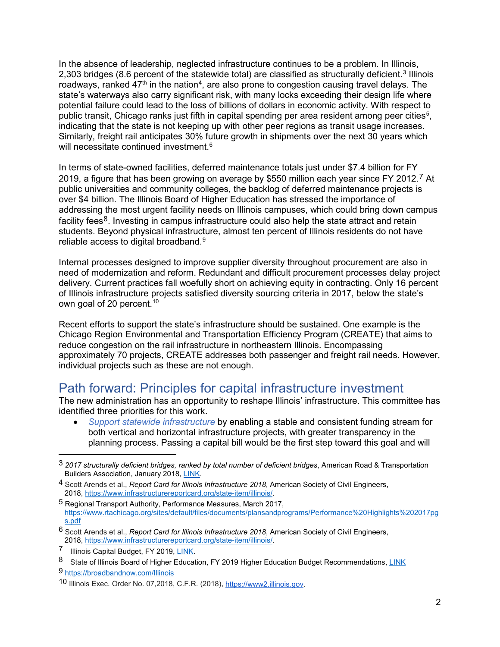In the absence of leadership, neglected infrastructure continues to be a problem. In Illinois, 2,[3](#page-1-0)03 bridges (8.6 percent of the statewide total) are classified as structurally deficient.<sup>3</sup> Illinois roadways, ranked 47<sup>th</sup> in the nation<sup>4</sup>, are also prone to congestion causing travel delays. The state's waterways also carry significant risk, with many locks exceeding their design life where potential failure could lead to the loss of billions of dollars in economic activity. With respect to public transit, Chicago ranks just fifth in capital spending per area resident among peer cities $^5$  $^5$ , indicating that the state is not keeping up with other peer regions as transit usage increases. Similarly, freight rail anticipates 30% future growth in shipments over the next 30 years which will necessitate continued investment. $^6$  $^6$ 

In terms of state-owned facilities, deferred maintenance totals just under \$7.4 billion for FY 2019, a figure that has been growing on average by \$550 million each year since FY 2012.[7](#page-1-4) At public universities and community colleges, the backlog of deferred maintenance projects is over \$4 billion. The Illinois Board of Higher Education has stressed the importance of addressing the most urgent facility needs on Illinois campuses, which could bring down campus facility fees<sup>[8](#page-1-5)</sup>. Investing in campus infrastructure could also help the state attract and retain students. Beyond physical infrastructure, almost ten percent of Illinois residents do not have reliable access to digital broadband.<sup>[9](#page-1-6)</sup>

Internal processes designed to improve supplier diversity throughout procurement are also in need of modernization and reform. Redundant and difficult procurement processes delay project delivery. Current practices fall woefully short on achieving equity in contracting. Only 16 percent of Illinois infrastructure projects satisfied diversity sourcing criteria in 2017, below the state's own goal of 20 percent.<sup>[10](#page-1-7)</sup>

Recent efforts to support the state's infrastructure should be sustained. One example is the Chicago Region Environmental and Transportation Efficiency Program (CREATE) that aims to reduce congestion on the rail infrastructure in northeastern Illinois. Encompassing approximately 70 projects, CREATE addresses both passenger and freight rail needs. However, individual projects such as these are not enough.

# Path forward: Principles for capital infrastructure investment

The new administration has an opportunity to reshape Illinois' infrastructure. This committee has identified three priorities for this work.

• *Support statewide infrastructure* by enabling a stable and consistent funding stream for both vertical and horizontal infrastructure projects, with greater transparency in the planning process. Passing a capital bill would be the first step toward this goal and will

<span id="page-1-6"></span>9 <https://broadbandnow.com/Illinois>

<span id="page-1-0"></span> <sup>3</sup> *2017 structurally deficient bridges, ranked by total number of deficient bridges*, American Road & Transportation Builders Association, January 2018, [LINK.](https://www.artba.org/wp-content/deficient_bridge/ARTBA_State_Ranking_2018.pdf)

<span id="page-1-1"></span><sup>4</sup> Scott Arends et al., *Report Card for Illinois Infrastructure 2018*, American Society of Civil Engineers, 2018, [https://www.infrastructurereportcard.org/state-item/illinois/.](https://www.infrastructurereportcard.org/state-item/illinois/)

<span id="page-1-2"></span><sup>5</sup> Regional Transport Authority, Performance Measures, March 2017, [https://www.rtachicago.org/sites/default/files/documents/plansandprograms/Performance%20Highlights%202017pg](https://www.rtachicago.org/sites/default/files/documents/plansandprograms/Performance%20Highlights%202017pgs.pdf) [s.pdf](https://www.rtachicago.org/sites/default/files/documents/plansandprograms/Performance%20Highlights%202017pgs.pdf)

<span id="page-1-3"></span><sup>6</sup> Scott Arends et al., *Report Card for Illinois Infrastructure 2018*, American Society of Civil Engineers, 2018, [https://www.infrastructurereportcard.org/state-item/illinois/.](https://www.infrastructurereportcard.org/state-item/illinois/)<br>7 Illinois Capital Budget FY 2019 LINK

<span id="page-1-4"></span>**Illinois Capital Budget, FY 2019, [LINK.](https://www2.illinois.gov/sites/budget/Documents/Budget%20Book/FY%202019/Fiscal-Year-2019-Capital-Budget.pdf)** 

<span id="page-1-5"></span><sup>8</sup> State of Illinois Board of Higher Education, FY 2019 Higher Education Budget Recommendations, [LINK](https://www.ibhe.org/assets/files/FY18BudgetBook.pdf)

<span id="page-1-7"></span><sup>10</sup> Illinois Exec. Order No. 07,2018, C.F.R. (2018), [https://www2.illinois.gov.](https://www2.illinois.gov/)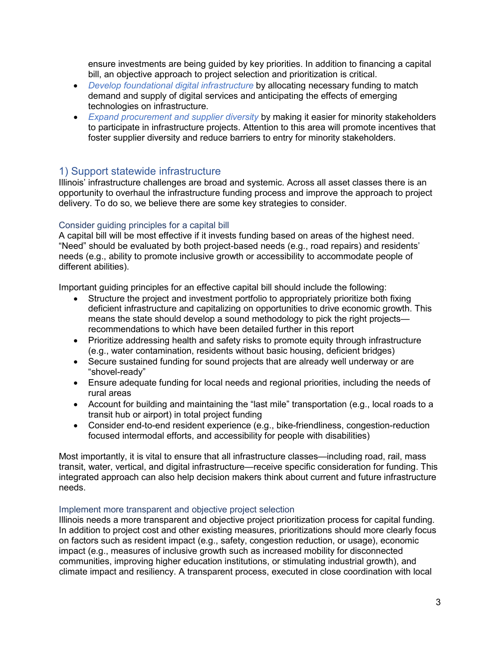ensure investments are being guided by key priorities. In addition to financing a capital bill, an objective approach to project selection and prioritization is critical.

- *Develop foundational digital infrastructure* by allocating necessary funding to match demand and supply of digital services and anticipating the effects of emerging technologies on infrastructure.
- *Expand procurement and supplier diversity* by making it easier for minority stakeholders to participate in infrastructure projects. Attention to this area will promote incentives that foster supplier diversity and reduce barriers to entry for minority stakeholders.

# 1) Support statewide infrastructure

Illinois' infrastructure challenges are broad and systemic. Across all asset classes there is an opportunity to overhaul the infrastructure funding process and improve the approach to project delivery. To do so, we believe there are some key strategies to consider.

# Consider guiding principles for a capital bill

A capital bill will be most effective if it invests funding based on areas of the highest need. "Need" should be evaluated by both project-based needs (e.g., road repairs) and residents' needs (e.g., ability to promote inclusive growth or accessibility to accommodate people of different abilities).

Important guiding principles for an effective capital bill should include the following:

- Structure the project and investment portfolio to appropriately prioritize both fixing deficient infrastructure and capitalizing on opportunities to drive economic growth. This means the state should develop a sound methodology to pick the right projects recommendations to which have been detailed further in this report
- Prioritize addressing health and safety risks to promote equity through infrastructure (e.g., water contamination, residents without basic housing, deficient bridges)
- Secure sustained funding for sound projects that are already well underway or are "shovel-ready"
- Ensure adequate funding for local needs and regional priorities, including the needs of rural areas
- Account for building and maintaining the "last mile" transportation (e.g., local roads to a transit hub or airport) in total project funding
- Consider end-to-end resident experience (e.g., bike-friendliness, congestion-reduction focused intermodal efforts, and accessibility for people with disabilities)

Most importantly, it is vital to ensure that all infrastructure classes—including road, rail, mass transit, water, vertical, and digital infrastructure—receive specific consideration for funding. This integrated approach can also help decision makers think about current and future infrastructure needs.

# Implement more transparent and objective project selection

Illinois needs a more transparent and objective project prioritization process for capital funding. In addition to project cost and other existing measures, prioritizations should more clearly focus on factors such as resident impact (e.g., safety, congestion reduction, or usage), economic impact (e.g., measures of inclusive growth such as increased mobility for disconnected communities, improving higher education institutions, or stimulating industrial growth), and climate impact and resiliency. A transparent process, executed in close coordination with local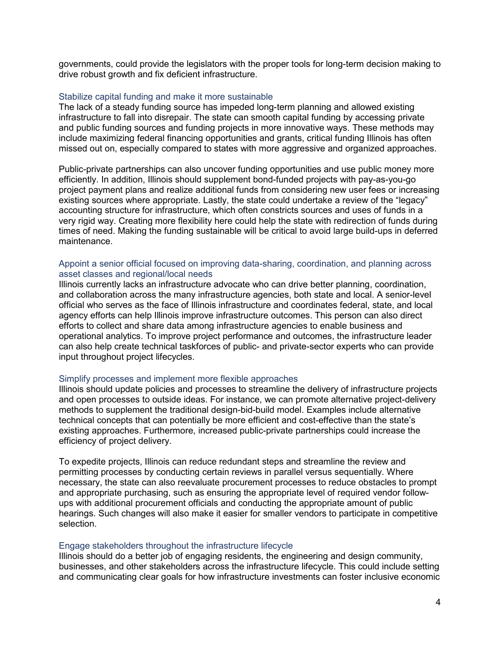governments, could provide the legislators with the proper tools for long-term decision making to drive robust growth and fix deficient infrastructure.

#### Stabilize capital funding and make it more sustainable

The lack of a steady funding source has impeded long-term planning and allowed existing infrastructure to fall into disrepair. The state can smooth capital funding by accessing private and public funding sources and funding projects in more innovative ways. These methods may include maximizing federal financing opportunities and grants, critical funding Illinois has often missed out on, especially compared to states with more aggressive and organized approaches.

Public-private partnerships can also uncover funding opportunities and use public money more efficiently. In addition, Illinois should supplement bond-funded projects with pay-as-you-go project payment plans and realize additional funds from considering new user fees or increasing existing sources where appropriate. Lastly, the state could undertake a review of the "legacy" accounting structure for infrastructure, which often constricts sources and uses of funds in a very rigid way. Creating more flexibility here could help the state with redirection of funds during times of need. Making the funding sustainable will be critical to avoid large build-ups in deferred maintenance.

### Appoint a senior official focused on improving data-sharing, coordination, and planning across asset classes and regional/local needs

Illinois currently lacks an infrastructure advocate who can drive better planning, coordination, and collaboration across the many infrastructure agencies, both state and local. A senior-level official who serves as the face of Illinois infrastructure and coordinates federal, state, and local agency efforts can help Illinois improve infrastructure outcomes. This person can also direct efforts to collect and share data among infrastructure agencies to enable business and operational analytics. To improve project performance and outcomes, the infrastructure leader can also help create technical taskforces of public- and private-sector experts who can provide input throughout project lifecycles.

#### Simplify processes and implement more flexible approaches

Illinois should update policies and processes to streamline the delivery of infrastructure projects and open processes to outside ideas. For instance, we can promote alternative project-delivery methods to supplement the traditional design-bid-build model. Examples include alternative technical concepts that can potentially be more efficient and cost-effective than the state's existing approaches. Furthermore, increased public-private partnerships could increase the efficiency of project delivery.

To expedite projects, Illinois can reduce redundant steps and streamline the review and permitting processes by conducting certain reviews in parallel versus sequentially. Where necessary, the state can also reevaluate procurement processes to reduce obstacles to prompt and appropriate purchasing, such as ensuring the appropriate level of required vendor followups with additional procurement officials and conducting the appropriate amount of public hearings. Such changes will also make it easier for smaller vendors to participate in competitive selection.

#### Engage stakeholders throughout the infrastructure lifecycle

Illinois should do a better job of engaging residents, the engineering and design community, businesses, and other stakeholders across the infrastructure lifecycle. This could include setting and communicating clear goals for how infrastructure investments can foster inclusive economic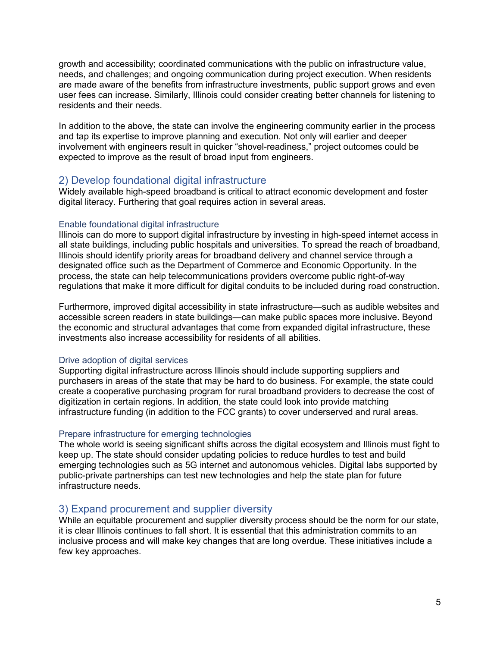growth and accessibility; coordinated communications with the public on infrastructure value, needs, and challenges; and ongoing communication during project execution. When residents are made aware of the benefits from infrastructure investments, public support grows and even user fees can increase. Similarly, Illinois could consider creating better channels for listening to residents and their needs.

In addition to the above, the state can involve the engineering community earlier in the process and tap its expertise to improve planning and execution. Not only will earlier and deeper involvement with engineers result in quicker "shovel-readiness," project outcomes could be expected to improve as the result of broad input from engineers.

# 2) Develop foundational digital infrastructure

Widely available high-speed broadband is critical to attract economic development and foster digital literacy. Furthering that goal requires action in several areas.

# Enable foundational digital infrastructure

Illinois can do more to support digital infrastructure by investing in high-speed internet access in all state buildings, including public hospitals and universities. To spread the reach of broadband, Illinois should identify priority areas for broadband delivery and channel service through a designated office such as the Department of Commerce and Economic Opportunity. In the process, the state can help telecommunications providers overcome public right-of-way regulations that make it more difficult for digital conduits to be included during road construction.

Furthermore, improved digital accessibility in state infrastructure—such as audible websites and accessible screen readers in state buildings—can make public spaces more inclusive. Beyond the economic and structural advantages that come from expanded digital infrastructure, these investments also increase accessibility for residents of all abilities.

# Drive adoption of digital services

Supporting digital infrastructure across Illinois should include supporting suppliers and purchasers in areas of the state that may be hard to do business. For example, the state could create a cooperative purchasing program for rural broadband providers to decrease the cost of digitization in certain regions. In addition, the state could look into provide matching infrastructure funding (in addition to the FCC grants) to cover underserved and rural areas.

# Prepare infrastructure for emerging technologies

The whole world is seeing significant shifts across the digital ecosystem and Illinois must fight to keep up. The state should consider updating policies to reduce hurdles to test and build emerging technologies such as 5G internet and autonomous vehicles. Digital labs supported by public-private partnerships can test new technologies and help the state plan for future infrastructure needs.

# 3) Expand procurement and supplier diversity

While an equitable procurement and supplier diversity process should be the norm for our state, it is clear Illinois continues to fall short. It is essential that this administration commits to an inclusive process and will make key changes that are long overdue. These initiatives include a few key approaches.